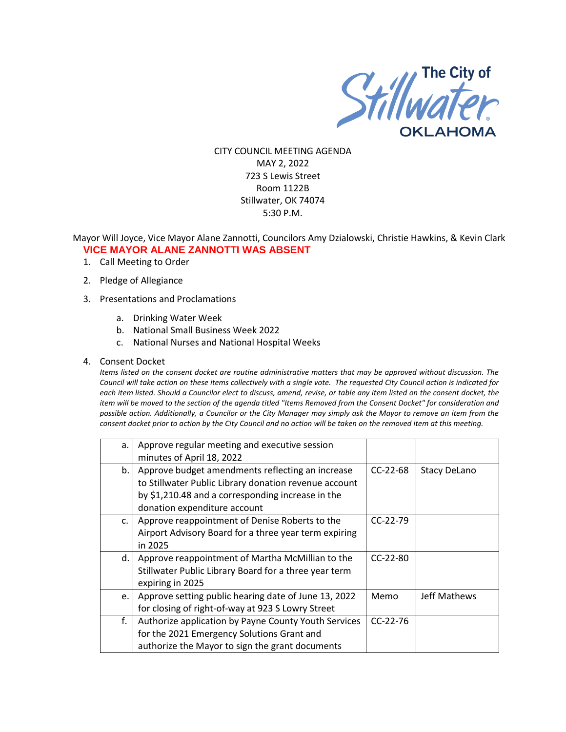

CITY COUNCIL MEETING AGENDA MAY 2, 2022 723 S Lewis Street Room 1122B Stillwater, OK 74074 5:30 P.M.

Mayor Will Joyce, Vice Mayor Alane Zannotti, Councilors Amy Dzialowski, Christie Hawkins, & Kevin Clark **VICE MAYOR ALANE ZANNOTTI WAS ABSENT**

- 1. Call Meeting to Order
- 2. Pledge of Allegiance
- 3. Presentations and Proclamations
	- a. Drinking Water Week
	- b. National Small Business Week 2022
	- c. National Nurses and National Hospital Weeks
- 4. Consent Docket

*Items listed on the consent docket are routine administrative matters that may be approved without discussion. The Council will take action on these items collectively with a single vote. The requested City Council action is indicated for each item listed. Should a Councilor elect to discuss, amend, revise, or table any item listed on the consent docket, the item will be moved to the section of the agenda titled "Items Removed from the Consent Docket" for consideration and possible action. Additionally, a Councilor or the City Manager may simply ask the Mayor to remove an item from the consent docket prior to action by the City Council and no action will be taken on the removed item at this meeting.*

| a. | Approve regular meeting and executive session         |            |                     |
|----|-------------------------------------------------------|------------|---------------------|
|    | minutes of April 18, 2022                             |            |                     |
| b. | Approve budget amendments reflecting an increase      | $CC-22-68$ | <b>Stacy DeLano</b> |
|    | to Stillwater Public Library donation revenue account |            |                     |
|    | by \$1,210.48 and a corresponding increase in the     |            |                     |
|    | donation expenditure account                          |            |                     |
| c. | Approve reappointment of Denise Roberts to the        | $CC-22-79$ |                     |
|    | Airport Advisory Board for a three year term expiring |            |                     |
|    | in 2025                                               |            |                     |
| d. | Approve reappointment of Martha McMillian to the      | $CC-22-80$ |                     |
|    | Stillwater Public Library Board for a three year term |            |                     |
|    | expiring in 2025                                      |            |                     |
| e. | Approve setting public hearing date of June 13, 2022  | Memo       | Jeff Mathews        |
|    | for closing of right-of-way at 923 S Lowry Street     |            |                     |
| f. | Authorize application by Payne County Youth Services  | $CC-22-76$ |                     |
|    | for the 2021 Emergency Solutions Grant and            |            |                     |
|    | authorize the Mayor to sign the grant documents       |            |                     |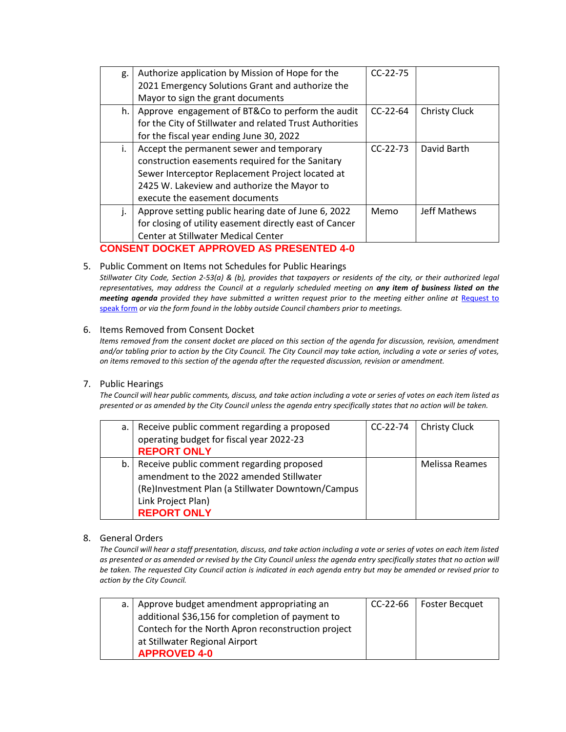| g.                                              | Authorize application by Mission of Hope for the         | $CC-22-75$ |                      |
|-------------------------------------------------|----------------------------------------------------------|------------|----------------------|
|                                                 | 2021 Emergency Solutions Grant and authorize the         |            |                      |
|                                                 | Mayor to sign the grant documents                        |            |                      |
| h.                                              | Approve engagement of BT&Co to perform the audit         | $CC-22-64$ | <b>Christy Cluck</b> |
|                                                 | for the City of Stillwater and related Trust Authorities |            |                      |
|                                                 | for the fiscal year ending June 30, 2022                 |            |                      |
| İ.                                              | Accept the permanent sewer and temporary                 | $CC-22-73$ | David Barth          |
|                                                 | construction easements required for the Sanitary         |            |                      |
|                                                 | Sewer Interceptor Replacement Project located at         |            |                      |
|                                                 | 2425 W. Lakeview and authorize the Mayor to              |            |                      |
|                                                 | execute the easement documents                           |            |                      |
| j.                                              | Approve setting public hearing date of June 6, 2022      | Memo       | Jeff Mathews         |
|                                                 | for closing of utility easement directly east of Cancer  |            |                      |
|                                                 | <b>Center at Stillwater Medical Center</b>               |            |                      |
| <b>CONSENT DOCKET APPROVED AS PRESENTED 4-0</b> |                                                          |            |                      |

# 5. Public Comment on Items not Schedules for Public Hearings

*Stillwater City Code, Section 2-53(a) & (b), provides that taxpayers or residents of the city, or their authorized legal representatives, may address the Council at a regularly scheduled meeting on any item of business listed on the meeting agenda provided they have submitted a written request prior to the meeting either online at Request to* [speak form](http://stillwater.org/page/home/government/mayor-city-council/meetings-agendas-minutes/online-request-to-speak-at-city-council) *or via the form found in the lobby outside Council chambers prior to meetings.*

### 6. Items Removed from Consent Docket

*Items removed from the consent docket are placed on this section of the agenda for discussion, revision, amendment and/or tabling prior to action by the City Council. The City Council may take action, including a vote or series of votes, on items removed to this section of the agenda after the requested discussion, revision or amendment.*

#### 7. Public Hearings

*The Council will hear public comments, discuss, and take action including a vote or series of votes on each item listed as presented or as amended by the City Council unless the agenda entry specifically states that no action will be taken.*

| a. | Receive public comment regarding a proposed       | $CC-22-74$ | <b>Christy Cluck</b>  |
|----|---------------------------------------------------|------------|-----------------------|
|    | operating budget for fiscal year 2022-23          |            |                       |
|    | <b>REPORT ONLY</b>                                |            |                       |
|    | b.   Receive public comment regarding proposed    |            | <b>Melissa Reames</b> |
|    | amendment to the 2022 amended Stillwater          |            |                       |
|    | (Re)Investment Plan (a Stillwater Downtown/Campus |            |                       |
|    | Link Project Plan)                                |            |                       |
|    | <b>REPORT ONLY</b>                                |            |                       |

## 8. General Orders

*The Council will hear a staff presentation, discuss, and take action including a vote or series of votes on each item listed as presented or as amended or revised by the City Council unless the agenda entry specifically states that no action will be taken. The requested City Council action is indicated in each agenda entry but may be amended or revised prior to action by the City Council.* 

| a.   Approve budget amendment appropriating an     | CC-22-66 | Foster Becquet |
|----------------------------------------------------|----------|----------------|
| additional \$36,156 for completion of payment to   |          |                |
| Contech for the North Apron reconstruction project |          |                |
| at Stillwater Regional Airport                     |          |                |
| <b>APPROVED 4-0</b>                                |          |                |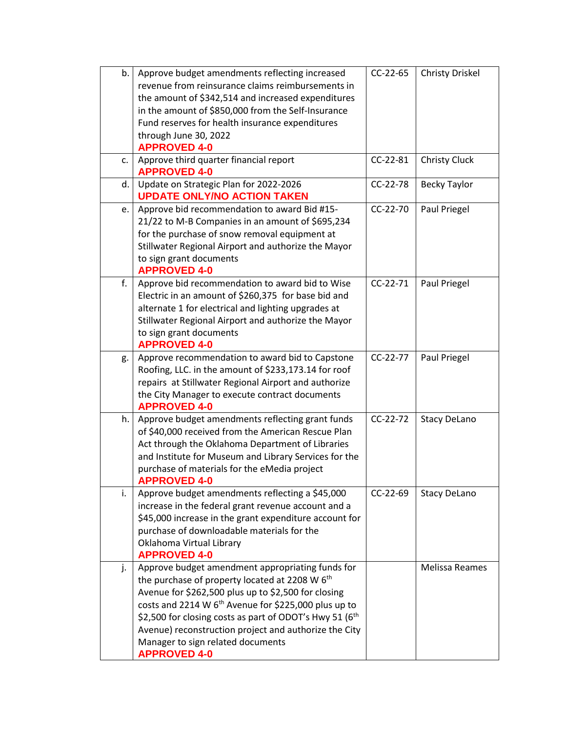| b. | Approve budget amendments reflecting increased             | CC-22-65   | <b>Christy Driskel</b> |
|----|------------------------------------------------------------|------------|------------------------|
|    | revenue from reinsurance claims reimbursements in          |            |                        |
|    | the amount of \$342,514 and increased expenditures         |            |                        |
|    | in the amount of \$850,000 from the Self-Insurance         |            |                        |
|    | Fund reserves for health insurance expenditures            |            |                        |
|    | through June 30, 2022                                      |            |                        |
|    | <b>APPROVED 4-0</b>                                        |            |                        |
| c. | Approve third quarter financial report                     | CC-22-81   | <b>Christy Cluck</b>   |
|    | <b>APPROVED 4-0</b>                                        |            |                        |
| d. | Update on Strategic Plan for 2022-2026                     | CC-22-78   | <b>Becky Taylor</b>    |
|    | <b>UPDATE ONLY/NO ACTION TAKEN</b>                         |            |                        |
| e. | Approve bid recommendation to award Bid #15-               | $CC-22-70$ | Paul Priegel           |
|    | 21/22 to M-B Companies in an amount of \$695,234           |            |                        |
|    | for the purchase of snow removal equipment at              |            |                        |
|    | Stillwater Regional Airport and authorize the Mayor        |            |                        |
|    | to sign grant documents                                    |            |                        |
|    | <b>APPROVED 4-0</b>                                        |            |                        |
| f. | Approve bid recommendation to award bid to Wise            | $CC-22-71$ | Paul Priegel           |
|    | Electric in an amount of \$260,375 for base bid and        |            |                        |
|    | alternate 1 for electrical and lighting upgrades at        |            |                        |
|    | Stillwater Regional Airport and authorize the Mayor        |            |                        |
|    | to sign grant documents                                    |            |                        |
|    | <b>APPROVED 4-0</b>                                        |            |                        |
| g. | Approve recommendation to award bid to Capstone            | CC-22-77   | Paul Priegel           |
|    | Roofing, LLC. in the amount of \$233,173.14 for roof       |            |                        |
|    | repairs at Stillwater Regional Airport and authorize       |            |                        |
|    | the City Manager to execute contract documents             |            |                        |
|    | <b>APPROVED 4-0</b>                                        |            |                        |
| h. | Approve budget amendments reflecting grant funds           | $CC-22-72$ | <b>Stacy DeLano</b>    |
|    | of \$40,000 received from the American Rescue Plan         |            |                        |
|    | Act through the Oklahoma Department of Libraries           |            |                        |
|    | and Institute for Museum and Library Services for the      |            |                        |
|    | purchase of materials for the eMedia project               |            |                        |
|    | <b>APPROVED 4-0</b>                                        |            |                        |
| i. | Approve budget amendments reflecting a \$45,000            | $CC-22-69$ | <b>Stacy DeLano</b>    |
|    | increase in the federal grant revenue account and a        |            |                        |
|    | \$45,000 increase in the grant expenditure account for     |            |                        |
|    | purchase of downloadable materials for the                 |            |                        |
|    | Oklahoma Virtual Library                                   |            |                        |
|    | <b>APPROVED 4-0</b>                                        |            |                        |
| j. | Approve budget amendment appropriating funds for           |            | Melissa Reames         |
|    | the purchase of property located at 2208 W 6 <sup>th</sup> |            |                        |
|    | Avenue for \$262,500 plus up to \$2,500 for closing        |            |                        |
|    | costs and 2214 W $6th$ Avenue for \$225,000 plus up to     |            |                        |
|    | \$2,500 for closing costs as part of ODOT's Hwy 51 ( $6th$ |            |                        |
|    | Avenue) reconstruction project and authorize the City      |            |                        |
|    | Manager to sign related documents                          |            |                        |
|    | <b>APPROVED 4-0</b>                                        |            |                        |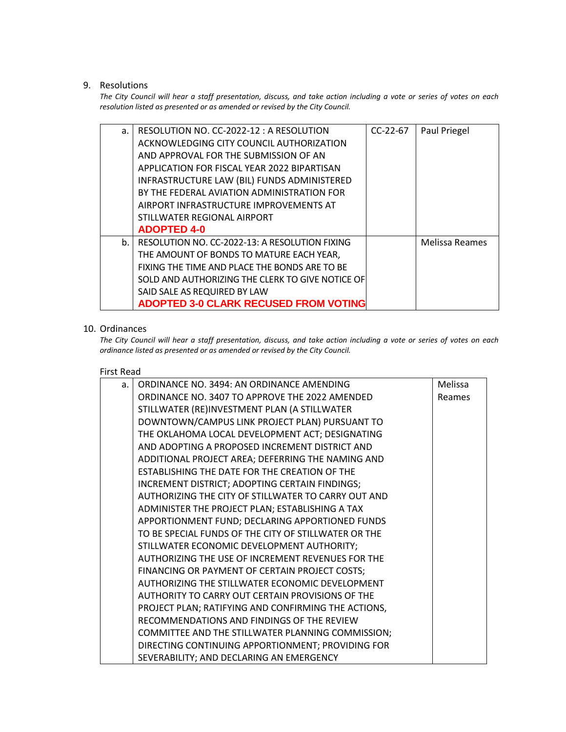## 9. Resolutions

*The City Council will hear a staff presentation, discuss, and take action including a vote or series of votes on each resolution listed as presented or as amended or revised by the City Council.* 

| a.      | RESOLUTION NO. CC-2022-12: A RESOLUTION          | $CC-22-67$ | Paul Priegel   |
|---------|--------------------------------------------------|------------|----------------|
|         | ACKNOWLEDGING CITY COUNCIL AUTHORIZATION         |            |                |
|         | AND APPROVAL FOR THE SUBMISSION OF AN            |            |                |
|         | APPLICATION FOR FISCAL YEAR 2022 BIPARTISAN      |            |                |
|         | INFRASTRUCTURE LAW (BIL) FUNDS ADMINISTERED      |            |                |
|         | BY THE FEDERAL AVIATION ADMINISTRATION FOR       |            |                |
|         | AIRPORT INFRASTRUCTURE IMPROVEMENTS AT           |            |                |
|         | STILLWATER REGIONAL AIRPORT                      |            |                |
|         | <b>ADOPTED 4-0</b>                               |            |                |
| $b_{1}$ | RESOLUTION NO. CC-2022-13: A RESOLUTION FIXING   |            | Melissa Reames |
|         | THE AMOUNT OF BONDS TO MATURE EACH YEAR,         |            |                |
|         | FIXING THE TIME AND PLACE THE BONDS ARE TO BE    |            |                |
|         | SOLD AND AUTHORIZING THE CLERK TO GIVE NOTICE OF |            |                |
|         | SAID SALE AS REQUIRED BY LAW                     |            |                |
|         | <b>ADOPTED 3-0 CLARK RECUSED FROM VOTING</b>     |            |                |

## 10. Ordinances

*The City Council will hear a staff presentation, discuss, and take action including a vote or series of votes on each ordinance listed as presented or as amended or revised by the City Council.*

### First Read

| a. | ORDINANCE NO. 3494: AN ORDINANCE AMENDING            | Melissa |
|----|------------------------------------------------------|---------|
|    | ORDINANCE NO. 3407 TO APPROVE THE 2022 AMENDED       | Reames  |
|    | STILLWATER (RE)INVESTMENT PLAN (A STILLWATER         |         |
|    | DOWNTOWN/CAMPUS LINK PROJECT PLAN) PURSUANT TO       |         |
|    | THE OKLAHOMA LOCAL DEVELOPMENT ACT; DESIGNATING      |         |
|    | AND ADOPTING A PROPOSED INCREMENT DISTRICT AND       |         |
|    | ADDITIONAL PROJECT AREA; DEFERRING THE NAMING AND    |         |
|    | ESTABLISHING THE DATE FOR THE CREATION OF THE        |         |
|    | INCREMENT DISTRICT; ADOPTING CERTAIN FINDINGS;       |         |
|    | AUTHORIZING THE CITY OF STILLWATER TO CARRY OUT AND  |         |
|    | ADMINISTER THE PROJECT PLAN; ESTABLISHING A TAX      |         |
|    | APPORTIONMENT FUND; DECLARING APPORTIONED FUNDS      |         |
|    | TO BE SPECIAL FUNDS OF THE CITY OF STILLWATER OR THE |         |
|    | STILLWATER ECONOMIC DEVELOPMENT AUTHORITY;           |         |
|    | AUTHORIZING THE USE OF INCREMENT REVENUES FOR THE    |         |
|    | FINANCING OR PAYMENT OF CERTAIN PROJECT COSTS;       |         |
|    | AUTHORIZING THE STILLWATER ECONOMIC DEVELOPMENT      |         |
|    | AUTHORITY TO CARRY OUT CERTAIN PROVISIONS OF THE     |         |
|    | PROJECT PLAN; RATIFYING AND CONFIRMING THE ACTIONS,  |         |
|    | RECOMMENDATIONS AND FINDINGS OF THE REVIEW           |         |
|    | COMMITTEE AND THE STILLWATER PLANNING COMMISSION;    |         |
|    | DIRECTING CONTINUING APPORTIONMENT; PROVIDING FOR    |         |
|    | SEVERABILITY; AND DECLARING AN EMERGENCY             |         |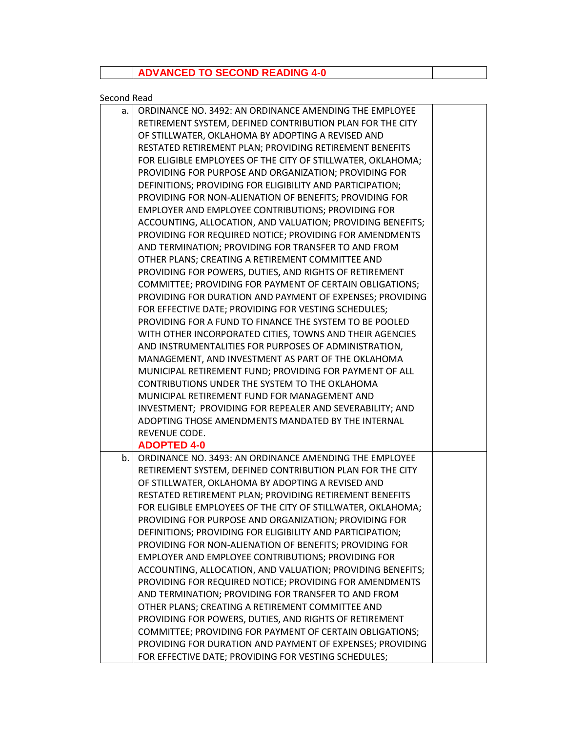## **ADVANCED TO SECOND READING 4-0**

## Second Read

| a. | ORDINANCE NO. 3492: AN ORDINANCE AMENDING THE EMPLOYEE      |  |
|----|-------------------------------------------------------------|--|
|    | RETIREMENT SYSTEM, DEFINED CONTRIBUTION PLAN FOR THE CITY   |  |
|    | OF STILLWATER, OKLAHOMA BY ADOPTING A REVISED AND           |  |
|    | RESTATED RETIREMENT PLAN; PROVIDING RETIREMENT BENEFITS     |  |
|    | FOR ELIGIBLE EMPLOYEES OF THE CITY OF STILLWATER, OKLAHOMA; |  |
|    | PROVIDING FOR PURPOSE AND ORGANIZATION; PROVIDING FOR       |  |
|    | DEFINITIONS; PROVIDING FOR ELIGIBILITY AND PARTICIPATION;   |  |
|    | PROVIDING FOR NON-ALIENATION OF BENEFITS; PROVIDING FOR     |  |
|    | EMPLOYER AND EMPLOYEE CONTRIBUTIONS; PROVIDING FOR          |  |
|    | ACCOUNTING, ALLOCATION, AND VALUATION; PROVIDING BENEFITS;  |  |
|    | PROVIDING FOR REQUIRED NOTICE; PROVIDING FOR AMENDMENTS     |  |
|    | AND TERMINATION; PROVIDING FOR TRANSFER TO AND FROM         |  |
|    | OTHER PLANS; CREATING A RETIREMENT COMMITTEE AND            |  |
|    | PROVIDING FOR POWERS, DUTIES, AND RIGHTS OF RETIREMENT      |  |
|    | COMMITTEE; PROVIDING FOR PAYMENT OF CERTAIN OBLIGATIONS;    |  |
|    | PROVIDING FOR DURATION AND PAYMENT OF EXPENSES; PROVIDING   |  |
|    | FOR EFFECTIVE DATE; PROVIDING FOR VESTING SCHEDULES;        |  |
|    | PROVIDING FOR A FUND TO FINANCE THE SYSTEM TO BE POOLED     |  |
|    | WITH OTHER INCORPORATED CITIES, TOWNS AND THEIR AGENCIES    |  |
|    | AND INSTRUMENTALITIES FOR PURPOSES OF ADMINISTRATION,       |  |
|    | MANAGEMENT, AND INVESTMENT AS PART OF THE OKLAHOMA          |  |
|    | MUNICIPAL RETIREMENT FUND; PROVIDING FOR PAYMENT OF ALL     |  |
|    | CONTRIBUTIONS UNDER THE SYSTEM TO THE OKLAHOMA              |  |
|    | MUNICIPAL RETIREMENT FUND FOR MANAGEMENT AND                |  |
|    | INVESTMENT; PROVIDING FOR REPEALER AND SEVERABILITY; AND    |  |
|    | ADOPTING THOSE AMENDMENTS MANDATED BY THE INTERNAL          |  |
|    | REVENUE CODE.                                               |  |
|    | <b>ADOPTED 4-0</b>                                          |  |
| b. | ORDINANCE NO. 3493: AN ORDINANCE AMENDING THE EMPLOYEE      |  |
|    | RETIREMENT SYSTEM, DEFINED CONTRIBUTION PLAN FOR THE CITY   |  |
|    | OF STILLWATER, OKLAHOMA BY ADOPTING A REVISED AND           |  |
|    | RESTATED RETIREMENT PLAN; PROVIDING RETIREMENT BENEFITS     |  |
|    | FOR ELIGIBLE EMPLOYEES OF THE CITY OF STILLWATER, OKLAHOMA; |  |
|    | PROVIDING FOR PURPOSE AND ORGANIZATION; PROVIDING FOR       |  |
|    | DEFINITIONS; PROVIDING FOR ELIGIBILITY AND PARTICIPATION;   |  |
|    | PROVIDING FOR NON-ALIENATION OF BENEFITS; PROVIDING FOR     |  |
|    | EMPLOYER AND EMPLOYEE CONTRIBUTIONS; PROVIDING FOR          |  |
|    | ACCOUNTING, ALLOCATION, AND VALUATION; PROVIDING BENEFITS;  |  |
|    | PROVIDING FOR REQUIRED NOTICE; PROVIDING FOR AMENDMENTS     |  |
|    | AND TERMINATION; PROVIDING FOR TRANSFER TO AND FROM         |  |
|    | OTHER PLANS; CREATING A RETIREMENT COMMITTEE AND            |  |
|    | PROVIDING FOR POWERS, DUTIES, AND RIGHTS OF RETIREMENT      |  |
|    | COMMITTEE; PROVIDING FOR PAYMENT OF CERTAIN OBLIGATIONS;    |  |
|    | PROVIDING FOR DURATION AND PAYMENT OF EXPENSES; PROVIDING   |  |
|    | FOR EFFECTIVE DATE; PROVIDING FOR VESTING SCHEDULES;        |  |